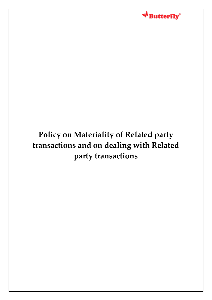

# **Policy on Materiality of Related party transactions and on dealing with Related party transactions**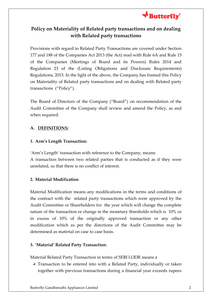

## **Policy on Materiality of Related party transactions and on dealing with Related party transactions**

Provisions with regard to Related Party Transactions are covered under Section 177 and 188 of the Companies Act 2013 (the Act) read with Rule 6A and Rule 15 of the Companies (Meetings of Board and its Powers) Rules 2014 and Regulation 23 of the (Listing Obligations and Disclosure Requirements) Regulations, 2015. In the light of the above, the Company has framed this Policy on Materiality of Related party transactions and on dealing with Related party transactions ("Policy").

The Board of Directors of the Company ("Board") on recommendation of the Audit Committee of the Company shall review and amend the Policy, as and when required.

## **A. DEFINITIONS:**

## **1. Arm's Length Transaction:**

'Arm's Length' transaction with reference to the Company, means:

A transaction between two related parties that is conducted as if they were unrelated, so that there is no conflict of interest.

## **2. Material Modification**

Material Modification means any modifications in the terms and conditions of the contract with the related party transactions which were approved by the Audit Committee or Shareholders for the year which will change the complete nature of the transaction or change in the monetary thresholds which is 10% or in excess of 10% of the originally approved transaction or any other modification which as per the directions of the Audit Committee may be determined as material on case to case basis.

## **3. 'Material' Related Party Transaction:**

Material Related Party Transaction in terms of SEBI LODR means a

 Transaction to be entered into with a Related Party, individually or taken together with previous transactions during a financial year exceeds rupees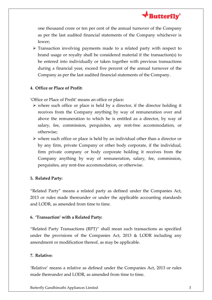

one thousand crore or ten per cent of the annual turnover of the Company as per the last audited financial statements of the Company whichever is lower;

 $\triangleright$  Transaction involving payments made to a related party with respect to brand usage or royalty shall be considered material if the transaction(s) to be entered into individually or taken together with previous transactions during a financial year, exceed five percent of the annual turnover of the Company as per the last audited financial statements of the Company.

## **4. Office or Place of Profit:**

'Office or Place of Profit' means an office or place:

- $\triangleright$  where such office or place is held by a director, if the director holding it receives from the Company anything by way of remuneration over and above the remuneration to which he is entitled as a director, by way of salary, fee, commission, perquisites, any rent-free accommodation, or otherwise;
- $\triangleright$  where such office or place is held by an individual other than a director or by any firm, private Company or other body corporate, if the individual, firm private company or body corporate holding it receives from the Company anything by way of remuneration, salary, fee, commission, perquisites, any rent-free accommodation, or otherwise.

#### **5. Related Party:**

"Related Party" means a related party as defined under the Companies Act, 2013 or rules made thereunder or under the applicable accounting standards and LODR, as amended from time to time.

#### **6. 'Transaction' with a Related Party:**

"Related Party Transactions (RPT)" shall mean such transactions as specified under the provisions of the Companies Act, 2013 & LODR including any amendment or modification thereof, as may be applicable.

#### **7. Relative:**

'Relative' means a relative as defined under the Companies Act, 2013 or rules made thereunder and LODR, as amended from time to time.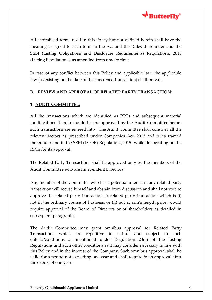

All capitalized terms used in this Policy but not defined herein shall have the meaning assigned to such term in the Act and the Rules thereunder and the SEBI (Listing Obligations and Disclosure Requirements) Regulations, 2015 (Listing Regulations), as amended from time to time.

In case of any conflict between this Policy and applicable law, the applicable law (as existing on the date of the concerned transaction) shall prevail.

#### **B. REVIEW AND APPROVAL OF RELATED PARTY TRANSACTION:**

#### **1. AUDIT COMMITTEE:**

All the transactions which are identified as RPTs and subsequent material modifications thereto should be pre-approved by the Audit Committee before such transactions are entered into . The Audit Committee shall consider all the relevant factors as prescribed under Companies Act, 2013 and rules framed thereunder and in the SEBI (LODR) Regulations,2015 while deliberating on the RPTs for its approval.

The Related Party Transactions shall be approved only by the members of the Audit Committee who are Independent Directors.

Any member of the Committee who has a potential interest in any related party transaction will recuse himself and abstain from discussion and shall not vote to approve the related party transaction. A related party transaction which is (i) not in the ordinary course of business, or (ii) not at arm's length price, would require approval of the Board of Directors or of shareholders as detailed in subsequent paragraphs.

The Audit Committee may grant omnibus approval for Related Party Transactions which are repetitive in nature and subject to such criteria/conditions as mentioned under Regulation 23(3) of the Listing Regulations and such other conditions as it may consider necessary in line with this Policy and in the interest of the Company. Such omnibus approval shall be valid for a period not exceeding one year and shall require fresh approval after the expiry of one year.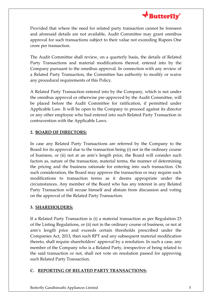

Provided that where the need for related party transaction cannot be foreseen and aforesaid details are not available, Audit Committee may grant omnibus approval for such transactions subject to their value not exceeding Rupees One crore per transaction.

The Audit Committee shall review, on a quarterly basis, the details of Related Party Transactions and material modifications thereof, entered into by the Company pursuant to the omnibus approval. In connection with any review of a Related Party Transaction, the Committee has authority to modify or waive any procedural requirements of this Policy.

A Related Party Transaction entered into by the Company, which is not under the omnibus approval or otherwise pre-approved by the Audit Committee, will be placed before the Audit Committee for ratification, if permitted under Applicable Law. It will be open to the Company to proceed against its director or any other employee who had entered into such Related Party Transaction in contravention with the Applicable Laws.

## **2. BOARD OF DIRECTORS:**

In case any Related Party Transactions are referred by the Company to the Board for its approval due to the transaction being (i) not in the ordinary course of business, or (ii) not at an arm's length price, the Board will consider such factors as, nature of the transaction, material terms, the manner of determining the pricing and the business rationale for entering into such transaction. On such consideration, the Board may approve the transaction or may require such modifications to transaction terms as it deems appropriate under the circumstances. Any member of the Board who has any interest in any Related Party Transaction will recuse himself and abstain from discussion and voting on the approval of the Related Party Transaction.

## **3. SHAREHOLDERS:**

If a Related Party Transaction is (i) a material transaction as per Regulation 23 of the Listing Regulations, or (ii) not in the ordinary course of business, or not at arm's length price and exceeds certain thresholds prescribed under the Companies Act, 2013, then such RPT and any subsequent material modification thereto, shall require shareholders' approval by a resolution. In such a case, any member of the Company who is a Related Party, irrespective of being related to the said transaction or not, shall not vote on resolution passed for approving such Related Party Transaction.

## **C. REPORTING OF RELATED PARTY TRANSACTIONS:**